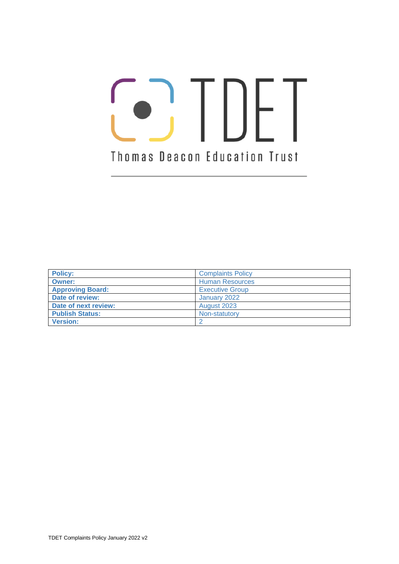# **O**, TDFT Thomas Deacon Education Trust

| <b>Policy:</b>          | <b>Complaints Policy</b> |
|-------------------------|--------------------------|
| <b>Owner:</b>           | <b>Human Resources</b>   |
| <b>Approving Board:</b> | <b>Executive Group</b>   |
| Date of review:         | January 2022             |
| Date of next review:    | August 2023              |
| <b>Publish Status:</b>  | Non-statutory            |
| <b>Version:</b>         |                          |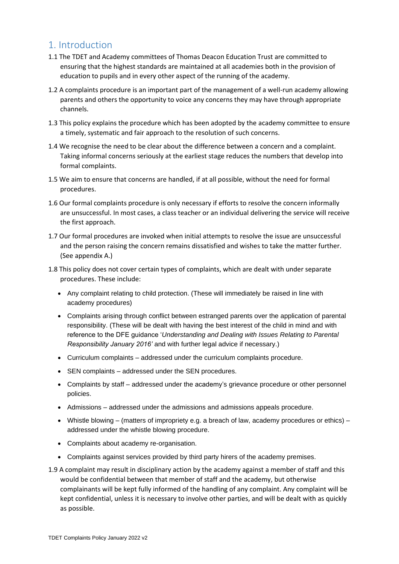# 1. Introduction

- 1.1 The TDET and Academy committees of Thomas Deacon Education Trust are committed to ensuring that the highest standards are maintained at all academies both in the provision of education to pupils and in every other aspect of the running of the academy.
- 1.2 A complaints procedure is an important part of the management of a well-run academy allowing parents and others the opportunity to voice any concerns they may have through appropriate channels.
- 1.3 This policy explains the procedure which has been adopted by the academy committee to ensure a timely, systematic and fair approach to the resolution of such concerns.
- 1.4 We recognise the need to be clear about the difference between a concern and a complaint. Taking informal concerns seriously at the earliest stage reduces the numbers that develop into formal complaints.
- 1.5 We aim to ensure that concerns are handled, if at all possible, without the need for formal procedures.
- 1.6 Our formal complaints procedure is only necessary if efforts to resolve the concern informally are unsuccessful. In most cases, a class teacher or an individual delivering the service will receive the first approach.
- 1.7 Our formal procedures are invoked when initial attempts to resolve the issue are unsuccessful and the person raising the concern remains dissatisfied and wishes to take the matter further. (See appendix A.)
- 1.8 This policy does not cover certain types of complaints, which are dealt with under separate procedures. These include:
	- Any complaint relating to child protection. (These will immediately be raised in line with academy procedures)
	- Complaints arising through conflict between estranged parents over the application of parental responsibility. (These will be dealt with having the best interest of the child in mind and with reference to the DFE guidance '*Understanding and Dealing with Issues Relating to Parental Responsibility January 2016'* and with further legal advice if necessary.)
	- Curriculum complaints addressed under the curriculum complaints procedure.
	- SEN complaints addressed under the SEN procedures.
	- Complaints by staff addressed under the academy's grievance procedure or other personnel policies.
	- Admissions addressed under the admissions and admissions appeals procedure.
	- Whistle blowing (matters of impropriety e.g. a breach of law, academy procedures or ethics) addressed under the whistle blowing procedure.
	- Complaints about academy re-organisation.
	- Complaints against services provided by third party hirers of the academy premises.
- 1.9 A complaint may result in disciplinary action by the academy against a member of staff and this would be confidential between that member of staff and the academy, but otherwise complainants will be kept fully informed of the handling of any complaint. Any complaint will be kept confidential, unless it is necessary to involve other parties, and will be dealt with as quickly as possible.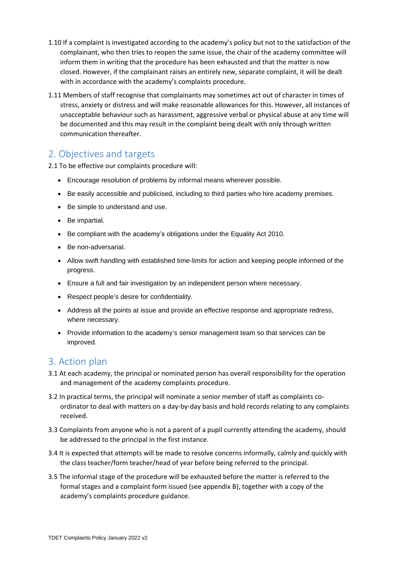- 1.10 If a complaint is investigated according to the academy's policy but not to the satisfaction of the complainant, who then tries to reopen the same issue, the chair of the academy committee will inform them in writing that the procedure has been exhausted and that the matter is now closed. However, if the complainant raises an entirely new, separate complaint, it will be dealt with in accordance with the academy's complaints procedure.
- 1.11 Members of staff recognise that complainants may sometimes act out of character in times of stress, anxiety or distress and will make reasonable allowances for this. However, all instances of unacceptable behaviour such as harassment, aggressive verbal or physical abuse at any time will be documented and this may result in the complaint being dealt with only through written communication thereafter.

## 2. Objectives and targets

2.1 To be effective our complaints procedure will:

- Encourage resolution of problems by informal means wherever possible.
- Be easily accessible and publicised, including to third parties who hire academy premises.
- Be simple to understand and use.
- Be impartial.
- Be compliant with the academy's obligations under the Equality Act 2010.
- Be non-adversarial.
- Allow swift handling with established time-limits for action and keeping people informed of the progress.
- Ensure a full and fair investigation by an independent person where necessary.
- Respect people's desire for confidentiality.
- Address all the points at issue and provide an effective response and appropriate redress, where necessary.
- Provide information to the academy's senior management team so that services can be improved.

### 3. Action plan

- 3.1 At each academy, the principal or nominated person has overall responsibility for the operation and management of the academy complaints procedure.
- 3.2 In practical terms, the principal will nominate a senior member of staff as complaints coordinator to deal with matters on a day-by-day basis and hold records relating to any complaints received.
- 3.3 Complaints from anyone who is not a parent of a pupil currently attending the academy, should be addressed to the principal in the first instance.
- 3.4 It is expected that attempts will be made to resolve concerns informally, calmly and quickly with the class teacher/form teacher/head of year before being referred to the principal.
- 3.5 The informal stage of the procedure will be exhausted before the matter is referred to the formal stages and a complaint form issued (see appendix B), together with a copy of the academy's complaints procedure guidance.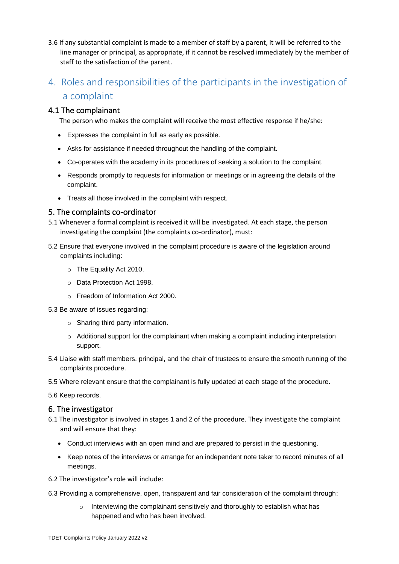3.6 If any substantial complaint is made to a member of staff by a parent, it will be referred to the line manager or principal, as appropriate, if it cannot be resolved immediately by the member of staff to the satisfaction of the parent.

# 4. Roles and responsibilities of the participants in the investigation of a complaint

#### 4.1 The complainant

The person who makes the complaint will receive the most effective response if he/she:

- Expresses the complaint in full as early as possible.
- Asks for assistance if needed throughout the handling of the complaint.
- Co-operates with the academy in its procedures of seeking a solution to the complaint.
- Responds promptly to requests for information or meetings or in agreeing the details of the complaint.
- Treats all those involved in the complaint with respect.

#### 5. The complaints co-ordinator

- 5.1 Whenever a formal complaint is received it will be investigated. At each stage, the person investigating the complaint (the complaints co-ordinator), must:
- 5.2 Ensure that everyone involved in the complaint procedure is aware of the legislation around complaints including:
	- o The Equality Act 2010.
	- o Data Protection Act 1998.
	- o Freedom of Information Act 2000.
- 5.3 Be aware of issues regarding:
	- o Sharing third party information.
	- $\circ$  Additional support for the complainant when making a complaint including interpretation support.
- 5.4 Liaise with staff members, principal, and the chair of trustees to ensure the smooth running of the complaints procedure.
- 5.5 Where relevant ensure that the complainant is fully updated at each stage of the procedure.

5.6 Keep records.

#### 6. The investigator

- 6.1 The investigator is involved in stages 1 and 2 of the procedure. They investigate the complaint and will ensure that they:
	- Conduct interviews with an open mind and are prepared to persist in the questioning.
	- Keep notes of the interviews or arrange for an independent note taker to record minutes of all meetings.
- 6.2 The investigator's role will include:
- 6.3 Providing a comprehensive, open, transparent and fair consideration of the complaint through:
	- Interviewing the complainant sensitively and thoroughly to establish what has happened and who has been involved.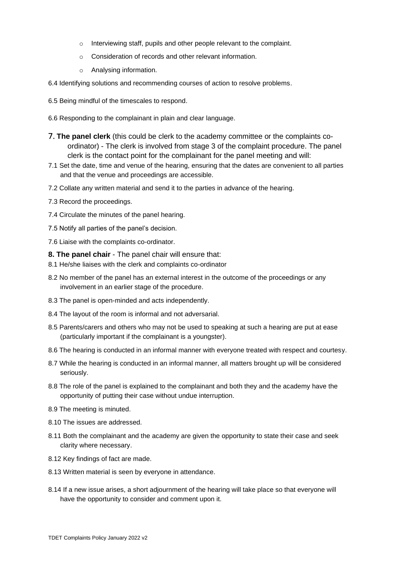- o Interviewing staff, pupils and other people relevant to the complaint.
- o Consideration of records and other relevant information.
- o Analysing information.
- 6.4 Identifying solutions and recommending courses of action to resolve problems.
- 6.5 Being mindful of the timescales to respond.
- 6.6 Responding to the complainant in plain and clear language.
- 7. **The panel clerk** (this could be clerk to the academy committee or the complaints coordinator) - The clerk is involved from stage 3 of the complaint procedure. The panel clerk is the contact point for the complainant for the panel meeting and will:
- 7.1 Set the date, time and venue of the hearing, ensuring that the dates are convenient to all parties and that the venue and proceedings are accessible.
- 7.2 Collate any written material and send it to the parties in advance of the hearing.
- 7.3 Record the proceedings.
- 7.4 Circulate the minutes of the panel hearing.
- 7.5 Notify all parties of the panel's decision.
- 7.6 Liaise with the complaints co-ordinator.
- **8. The panel chair** The panel chair will ensure that:
- 8.1 He/she liaises with the clerk and complaints co-ordinator
- 8.2 No member of the panel has an external interest in the outcome of the proceedings or any involvement in an earlier stage of the procedure.
- 8.3 The panel is open-minded and acts independently.
- 8.4 The layout of the room is informal and not adversarial.
- 8.5 Parents/carers and others who may not be used to speaking at such a hearing are put at ease (particularly important if the complainant is a youngster).
- 8.6 The hearing is conducted in an informal manner with everyone treated with respect and courtesy.
- 8.7 While the hearing is conducted in an informal manner, all matters brought up will be considered seriously.
- 8.8 The role of the panel is explained to the complainant and both they and the academy have the opportunity of putting their case without undue interruption.
- 8.9 The meeting is minuted.
- 8.10 The issues are addressed.
- 8.11 Both the complainant and the academy are given the opportunity to state their case and seek clarity where necessary.
- 8.12 Key findings of fact are made.
- 8.13 Written material is seen by everyone in attendance.
- 8.14 If a new issue arises, a short adjournment of the hearing will take place so that everyone will have the opportunity to consider and comment upon it.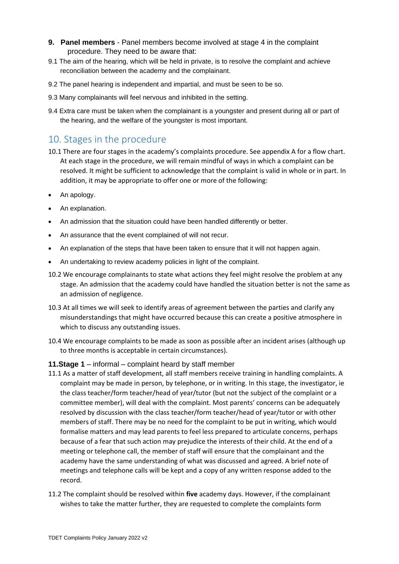- **9. Panel members** Panel members become involved at stage 4 in the complaint procedure. They need to be aware that:
- 9.1 The aim of the hearing, which will be held in private, is to resolve the complaint and achieve reconciliation between the academy and the complainant.
- 9.2 The panel hearing is independent and impartial, and must be seen to be so.
- 9.3 Many complainants will feel nervous and inhibited in the setting.
- 9.4 Extra care must be taken when the complainant is a youngster and present during all or part of the hearing, and the welfare of the youngster is most important.

## 10. Stages in the procedure

- 10.1 There are four stages in the academy's complaints procedure. See appendix A for a flow chart. At each stage in the procedure, we will remain mindful of ways in which a complaint can be resolved. It might be sufficient to acknowledge that the complaint is valid in whole or in part. In addition, it may be appropriate to offer one or more of the following:
- An apology.
- An explanation.
- An admission that the situation could have been handled differently or better.
- An assurance that the event complained of will not recur.
- An explanation of the steps that have been taken to ensure that it will not happen again.
- An undertaking to review academy policies in light of the complaint.
- 10.2 We encourage complainants to state what actions they feel might resolve the problem at any stage. An admission that the academy could have handled the situation better is not the same as an admission of negligence.
- 10.3 At all times we will seek to identify areas of agreement between the parties and clarify any misunderstandings that might have occurred because this can create a positive atmosphere in which to discuss any outstanding issues.
- 10.4 We encourage complaints to be made as soon as possible after an incident arises (although up to three months is acceptable in certain circumstances).

#### **11.Stage 1** – informal – complaint heard by staff member

- 11.1 As a matter of staff development, all staff members receive training in handling complaints. A complaint may be made in person, by telephone, or in writing. In this stage, the investigator, ie the class teacher/form teacher/head of year/tutor (but not the subject of the complaint or a committee member), will deal with the complaint. Most parents' concerns can be adequately resolved by discussion with the class teacher/form teacher/head of year/tutor or with other members of staff. There may be no need for the complaint to be put in writing, which would formalise matters and may lead parents to feel less prepared to articulate concerns, perhaps because of a fear that such action may prejudice the interests of their child. At the end of a meeting or telephone call, the member of staff will ensure that the complainant and the academy have the same understanding of what was discussed and agreed. A brief note of meetings and telephone calls will be kept and a copy of any written response added to the record.
- 11.2 The complaint should be resolved within **five** academy days. However, if the complainant wishes to take the matter further, they are requested to complete the complaints form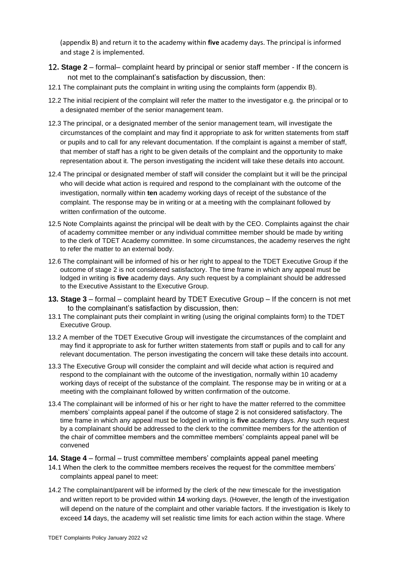(appendix B) and return it to the academy within **five** academy days. The principal is informed and stage 2 is implemented.

- 12**. Stage 2** formal– complaint heard by principal or senior staff member If the concern is not met to the complainant's satisfaction by discussion, then:
- 12.1 The complainant puts the complaint in writing using the complaints form (appendix B).
- 12.2 The initial recipient of the complaint will refer the matter to the investigator e.g. the principal or to a designated member of the senior management team.
- 12.3 The principal, or a designated member of the senior management team, will investigate the circumstances of the complaint and may find it appropriate to ask for written statements from staff or pupils and to call for any relevant documentation. If the complaint is against a member of staff, that member of staff has a right to be given details of the complaint and the opportunity to make representation about it. The person investigating the incident will take these details into account.
- 12.4 The principal or designated member of staff will consider the complaint but it will be the principal who will decide what action is required and respond to the complainant with the outcome of the investigation, normally within **ten** academy working days of receipt of the substance of the complaint. The response may be in writing or at a meeting with the complainant followed by written confirmation of the outcome.
- 12.5 Note Complaints against the principal will be dealt with by the CEO. Complaints against the chair of academy committee member or any individual committee member should be made by writing to the clerk of TDET Academy committee. In some circumstances, the academy reserves the right to refer the matter to an external body.
- 12.6 The complainant will be informed of his or her right to appeal to the TDET Executive Group if the outcome of stage 2 is not considered satisfactory. The time frame in which any appeal must be lodged in writing is **five** academy days. Any such request by a complainant should be addressed to the Executive Assistant to the Executive Group.
- **13. Stage 3** formal complaint heard by TDET Executive Group If the concern is not met to the complainant's satisfaction by discussion, then:
- 13.1 The complainant puts their complaint in writing (using the original complaints form) to the TDET Executive Group.
- 13.2 A member of the TDET Executive Group will investigate the circumstances of the complaint and may find it appropriate to ask for further written statements from staff or pupils and to call for any relevant documentation. The person investigating the concern will take these details into account.
- 13.3 The Executive Group will consider the complaint and will decide what action is required and respond to the complainant with the outcome of the investigation, normally within 10 academy working days of receipt of the substance of the complaint. The response may be in writing or at a meeting with the complainant followed by written confirmation of the outcome.
- 13.4 The complainant will be informed of his or her right to have the matter referred to the committee members' complaints appeal panel if the outcome of stage 2 is not considered satisfactory. The time frame in which any appeal must be lodged in writing is **five** academy days. Any such request by a complainant should be addressed to the clerk to the committee members for the attention of the chair of committee members and the committee members' complaints appeal panel will be convened
- **14. Stage 4** formal trust committee members' complaints appeal panel meeting
- 14.1 When the clerk to the committee members receives the request for the committee members' complaints appeal panel to meet:
- 14.2 The complainant/parent will be informed by the clerk of the new timescale for the investigation and written report to be provided within **14** working days. (However, the length of the investigation will depend on the nature of the complaint and other variable factors. If the investigation is likely to exceed **14** days, the academy will set realistic time limits for each action within the stage. Where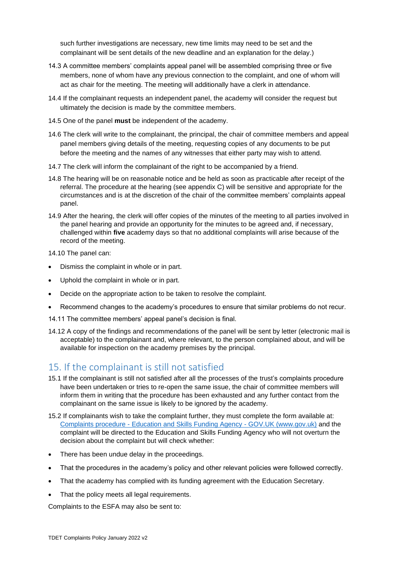such further investigations are necessary, new time limits may need to be set and the complainant will be sent details of the new deadline and an explanation for the delay.)

- 14.3 A committee members' complaints appeal panel will be assembled comprising three or five members, none of whom have any previous connection to the complaint, and one of whom will act as chair for the meeting. The meeting will additionally have a clerk in attendance.
- 14.4 If the complainant requests an independent panel, the academy will consider the request but ultimately the decision is made by the committee members.
- 14.5 One of the panel **must** be independent of the academy.
- 14.6 The clerk will write to the complainant, the principal, the chair of committee members and appeal panel members giving details of the meeting, requesting copies of any documents to be put before the meeting and the names of any witnesses that either party may wish to attend.
- 14.7 The clerk will inform the complainant of the right to be accompanied by a friend.
- 14.8 The hearing will be on reasonable notice and be held as soon as practicable after receipt of the referral. The procedure at the hearing (see appendix C) will be sensitive and appropriate for the circumstances and is at the discretion of the chair of the committee members' complaints appeal panel.
- 14.9 After the hearing, the clerk will offer copies of the minutes of the meeting to all parties involved in the panel hearing and provide an opportunity for the minutes to be agreed and, if necessary, challenged within **five** academy days so that no additional complaints will arise because of the record of the meeting.

14.10 The panel can:

- Dismiss the complaint in whole or in part.
- Uphold the complaint in whole or in part.
- Decide on the appropriate action to be taken to resolve the complaint.
- Recommend changes to the academy's procedures to ensure that similar problems do not recur.
- 14.11 The committee members' appeal panel's decision is final.
- 14.12 A copy of the findings and recommendations of the panel will be sent by letter (electronic mail is acceptable) to the complainant and, where relevant, to the person complained about, and will be available for inspection on the academy premises by the principal.

# 15. If the complainant is still not satisfied

- 15.1 If the complainant is still not satisfied after all the processes of the trust's complaints procedure have been undertaken or tries to re-open the same issue, the chair of committee members will inform them in writing that the procedure has been exhausted and any further contact from the complainant on the same issue is likely to be ignored by the academy.
- 15.2 If complainants wish to take the complaint further, they must complete the form available at: Complaints procedure - [Education and Skills Funding Agency -](https://www.gov.uk/government/organisations/education-and-skills-funding-agency/about/complaints-procedure) GOV.UK (www.gov.uk) and the complaint will be directed to the Education and Skills Funding Agency who will not overturn the decision about the complaint but will check whether:
- There has been undue delay in the proceedings.
- That the procedures in the academy's policy and other relevant policies were followed correctly.
- That the academy has complied with its funding agreement with the Education Secretary.
- That the policy meets all legal requirements.

Complaints to the ESFA may also be sent to: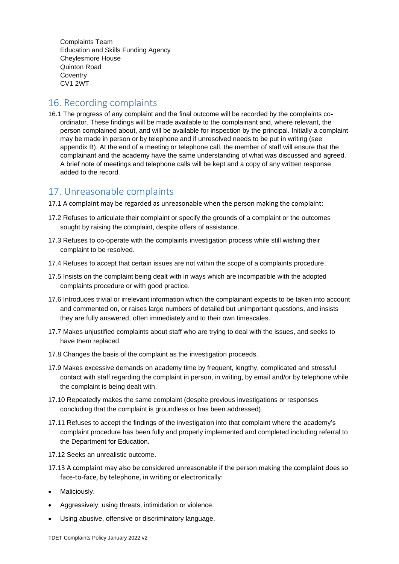Complaints Team Education and Skills Funding Agency Cheylesmore House Quinton Road **Coventry** CV1 2WT

# 16. Recording complaints

16.1 The progress of any complaint and the final outcome will be recorded by the complaints coordinator. These findings will be made available to the complainant and, where relevant, the person complained about, and will be available for inspection by the principal. Initially a complaint may be made in person or by telephone and if unresolved needs to be put in writing (see appendix B). At the end of a meeting or telephone call, the member of staff will ensure that the complainant and the academy have the same understanding of what was discussed and agreed. A brief note of meetings and telephone calls will be kept and a copy of any written response added to the record.

## 17. Unreasonable complaints

- 17.1 A complaint may be regarded as unreasonable when the person making the complaint:
- 17.2 Refuses to articulate their complaint or specify the grounds of a complaint or the outcomes sought by raising the complaint, despite offers of assistance.
- 17.3 Refuses to co-operate with the complaints investigation process while still wishing their complaint to be resolved.
- 17.4 Refuses to accept that certain issues are not within the scope of a complaints procedure.
- 17.5 Insists on the complaint being dealt with in ways which are incompatible with the adopted complaints procedure or with good practice.
- 17.6 Introduces trivial or irrelevant information which the complainant expects to be taken into account and commented on, or raises large numbers of detailed but unimportant questions, and insists they are fully answered, often immediately and to their own timescales.
- 17.7 Makes unjustified complaints about staff who are trying to deal with the issues, and seeks to have them replaced.
- 17.8 Changes the basis of the complaint as the investigation proceeds.
- 17.9 Makes excessive demands on academy time by frequent, lengthy, complicated and stressful contact with staff regarding the complaint in person, in writing, by email and/or by telephone while the complaint is being dealt with.
- 17.10 Repeatedly makes the same complaint (despite previous investigations or responses concluding that the complaint is groundless or has been addressed).
- 17.11 Refuses to accept the findings of the investigation into that complaint where the academy's complaint procedure has been fully and properly implemented and completed including referral to the Department for Education.
- 17.12 Seeks an unrealistic outcome.
- 17.13 A complaint may also be considered unreasonable if the person making the complaint does so face-to-face, by telephone, in writing or electronically:
- Maliciously.
- Aggressively, using threats, intimidation or violence.
- Using abusive, offensive or discriminatory language.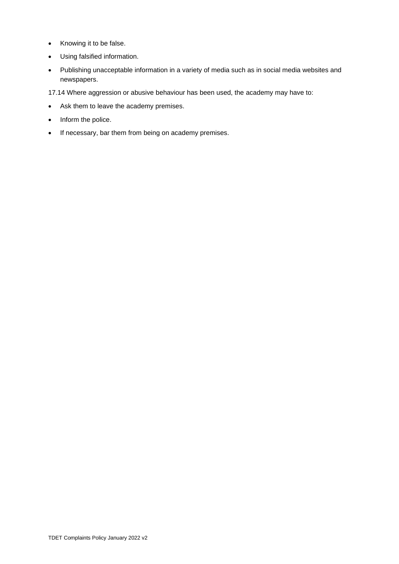- Knowing it to be false.
- Using falsified information.
- Publishing unacceptable information in a variety of media such as in social media websites and newspapers.

17.14 Where aggression or abusive behaviour has been used, the academy may have to:

- Ask them to leave the academy premises.
- Inform the police.
- If necessary, bar them from being on academy premises.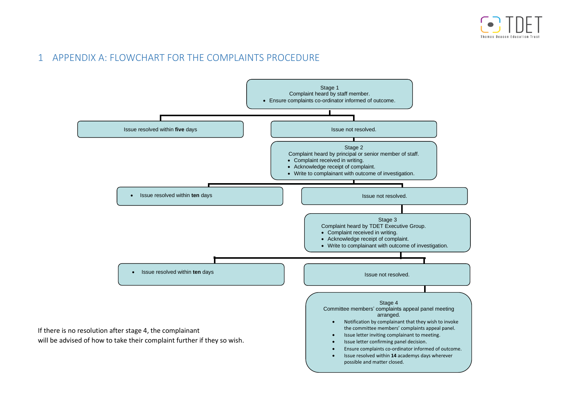# 1 APPENDIX A: FLOWCHART FOR THE COMPLAINTS PROCEDURE

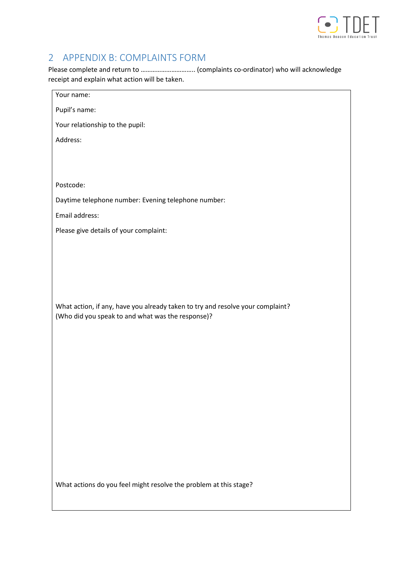

# 2 APPENDIX B: COMPLAINTS FORM

Please complete and return to ………………………….. (complaints co-ordinator) who will acknowledge receipt and explain what action will be taken.

| Your name:                                                                     |
|--------------------------------------------------------------------------------|
| Pupil's name:                                                                  |
| Your relationship to the pupil:                                                |
| Address:                                                                       |
|                                                                                |
|                                                                                |
| Postcode:                                                                      |
| Daytime telephone number: Evening telephone number:                            |
| Email address:                                                                 |
| Please give details of your complaint:                                         |
|                                                                                |
|                                                                                |
|                                                                                |
|                                                                                |
| What action, if any, have you already taken to try and resolve your complaint? |
| (Who did you speak to and what was the response)?                              |
|                                                                                |
|                                                                                |
|                                                                                |
|                                                                                |
|                                                                                |
|                                                                                |
|                                                                                |
|                                                                                |
|                                                                                |
|                                                                                |
| What actions do you feel might resolve the problem at this stage?              |
|                                                                                |
|                                                                                |